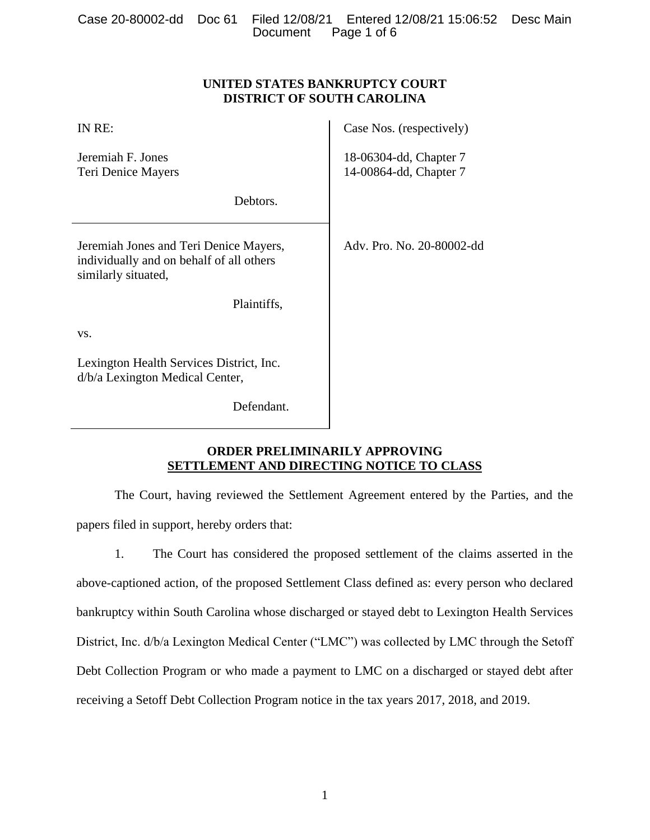|  |                      | Case 20-80002-dd Doc 61 Filed 12/08/21 Entered 12/08/21 15:06:52 Desc Main |  |
|--|----------------------|----------------------------------------------------------------------------|--|
|  | Document Page 1 of 6 |                                                                            |  |

## **UNITED STATES BANKRUPTCY COURT DISTRICT OF SOUTH CAROLINA**

| IN RE:                                                                                                    | Case Nos. (respectively)                         |
|-----------------------------------------------------------------------------------------------------------|--------------------------------------------------|
| Jeremiah F. Jones<br>Teri Denice Mayers                                                                   | 18-06304-dd, Chapter 7<br>14-00864-dd, Chapter 7 |
| Debtors.                                                                                                  |                                                  |
| Jeremiah Jones and Teri Denice Mayers,<br>individually and on behalf of all others<br>similarly situated, | Adv. Pro. No. 20-80002-dd                        |
| Plaintiffs,                                                                                               |                                                  |
| VS.                                                                                                       |                                                  |
| Lexington Health Services District, Inc.<br>d/b/a Lexington Medical Center,                               |                                                  |
| Defendant.                                                                                                |                                                  |

# **ORDER PRELIMINARILY APPROVING SETTLEMENT AND DIRECTING NOTICE TO CLASS**

The Court, having reviewed the Settlement Agreement entered by the Parties, and the papers filed in support, hereby orders that:

1. The Court has considered the proposed settlement of the claims asserted in the above-captioned action, of the proposed Settlement Class defined as: every person who declared bankruptcy within South Carolina whose discharged or stayed debt to Lexington Health Services District, Inc. d/b/a Lexington Medical Center ("LMC") was collected by LMC through the Setoff Debt Collection Program or who made a payment to LMC on a discharged or stayed debt after receiving a Setoff Debt Collection Program notice in the tax years 2017, 2018, and 2019.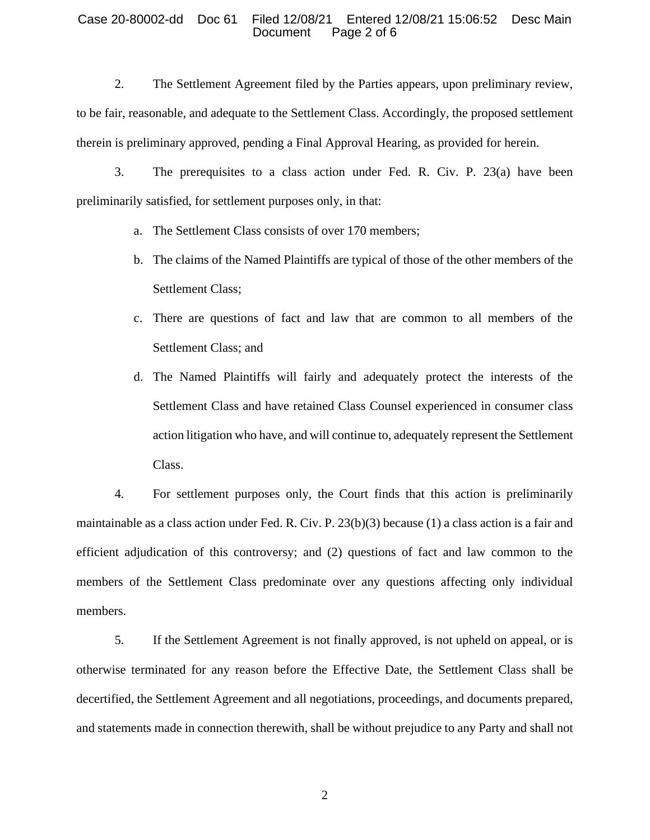### Case 20-80002-dd Doc 61 Filed 12/08/21 Entered 12/08/21 15:06:52 Desc Main Document Page 2 of 6

2. The Settlement Agreement filed by the Parties appears, upon preliminary review, to be fair, reasonable, and adequate to the Settlement Class. Accordingly, the proposed settlement therein is preliminary approved, pending a Final Approval Hearing, as provided for herein.

3. The prerequisites to a class action under Fed. R. Civ. P. 23(a) have been preliminarily satisfied, for settlement purposes only, in that:

- a. The Settlement Class consists of over 170 members;
- b. The claims of the Named Plaintiffs are typical of those of the other members of the Settlement Class;
- c. There are questions of fact and law that are common to all members of the Settlement Class; and
- d. The Named Plaintiffs will fairly and adequately protect the interests of the Settlement Class and have retained Class Counsel experienced in consumer class action litigation who have, and will continue to, adequately represent the Settlement Class.

4. For settlement purposes only, the Court finds that this action is preliminarily maintainable as a class action under Fed. R. Civ. P. 23(b)(3) because (1) a class action is a fair and efficient adjudication of this controversy; and (2) questions of fact and law common to the members of the Settlement Class predominate over any questions affecting only individual members.

5. If the Settlement Agreement is not finally approved, is not upheld on appeal, or is otherwise terminated for any reason before the Effective Date, the Settlement Class shall be decertified, the Settlement Agreement and all negotiations, proceedings, and documents prepared, and statements made in connection therewith, shall be without prejudice to any Party and shall not

2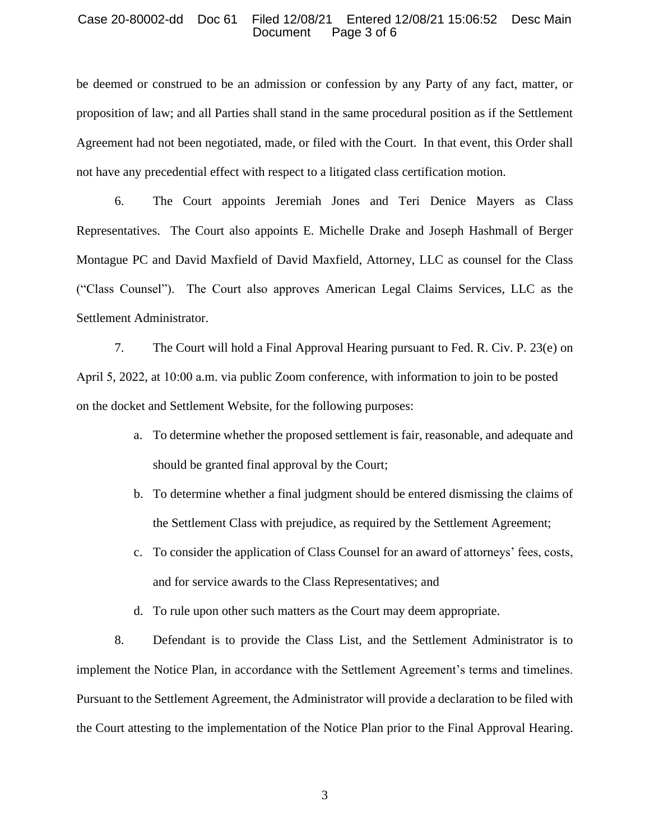## Case 20-80002-dd Doc 61 Filed 12/08/21 Entered 12/08/21 15:06:52 Desc Main Document Page 3 of 6

be deemed or construed to be an admission or confession by any Party of any fact, matter, or proposition of law; and all Parties shall stand in the same procedural position as if the Settlement Agreement had not been negotiated, made, or filed with the Court. In that event, this Order shall not have any precedential effect with respect to a litigated class certification motion.

6. The Court appoints Jeremiah Jones and Teri Denice Mayers as Class Representatives. The Court also appoints E. Michelle Drake and Joseph Hashmall of Berger Montague PC and David Maxfield of David Maxfield, Attorney, LLC as counsel for the Class ("Class Counsel"). The Court also approves American Legal Claims Services, LLC as the Settlement Administrator.

7. The Court will hold a Final Approval Hearing pursuant to Fed. R. Civ. P. 23(e) on April 5, 2022, at 10:00 a.m. via public Zoom conference, with information to join to be posted on the docket and Settlement Website, for the following purposes:

- a. To determine whether the proposed settlement is fair, reasonable, and adequate and should be granted final approval by the Court;
- b. To determine whether a final judgment should be entered dismissing the claims of the Settlement Class with prejudice, as required by the Settlement Agreement;
- c. To consider the application of Class Counsel for an award of attorneys' fees, costs, and for service awards to the Class Representatives; and

d. To rule upon other such matters as the Court may deem appropriate.

8. Defendant is to provide the Class List, and the Settlement Administrator is to implement the Notice Plan, in accordance with the Settlement Agreement's terms and timelines. Pursuant to the Settlement Agreement, the Administrator will provide a declaration to be filed with the Court attesting to the implementation of the Notice Plan prior to the Final Approval Hearing.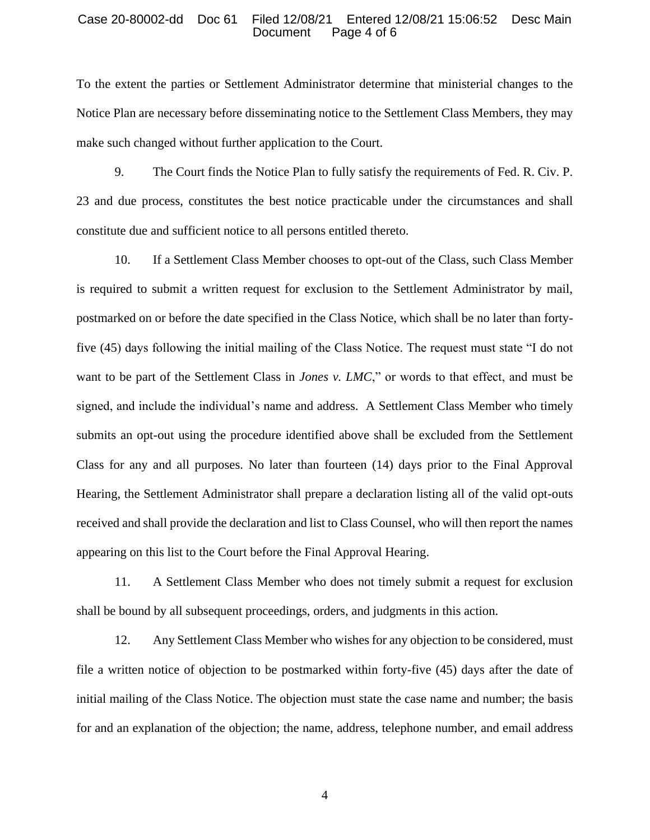## Case 20-80002-dd Doc 61 Filed 12/08/21 Entered 12/08/21 15:06:52 Desc Main Document Page 4 of 6

To the extent the parties or Settlement Administrator determine that ministerial changes to the Notice Plan are necessary before disseminating notice to the Settlement Class Members, they may make such changed without further application to the Court.

9. The Court finds the Notice Plan to fully satisfy the requirements of Fed. R. Civ. P. 23 and due process, constitutes the best notice practicable under the circumstances and shall constitute due and sufficient notice to all persons entitled thereto.

10. If a Settlement Class Member chooses to opt-out of the Class, such Class Member is required to submit a written request for exclusion to the Settlement Administrator by mail, postmarked on or before the date specified in the Class Notice, which shall be no later than fortyfive (45) days following the initial mailing of the Class Notice. The request must state "I do not want to be part of the Settlement Class in *Jones v. LMC*," or words to that effect, and must be signed, and include the individual's name and address. A Settlement Class Member who timely submits an opt-out using the procedure identified above shall be excluded from the Settlement Class for any and all purposes. No later than fourteen (14) days prior to the Final Approval Hearing, the Settlement Administrator shall prepare a declaration listing all of the valid opt-outs received and shall provide the declaration and list to Class Counsel, who will then report the names appearing on this list to the Court before the Final Approval Hearing.

11. A Settlement Class Member who does not timely submit a request for exclusion shall be bound by all subsequent proceedings, orders, and judgments in this action.

12. Any Settlement Class Member who wishes for any objection to be considered, must file a written notice of objection to be postmarked within forty-five (45) days after the date of initial mailing of the Class Notice. The objection must state the case name and number; the basis for and an explanation of the objection; the name, address, telephone number, and email address

4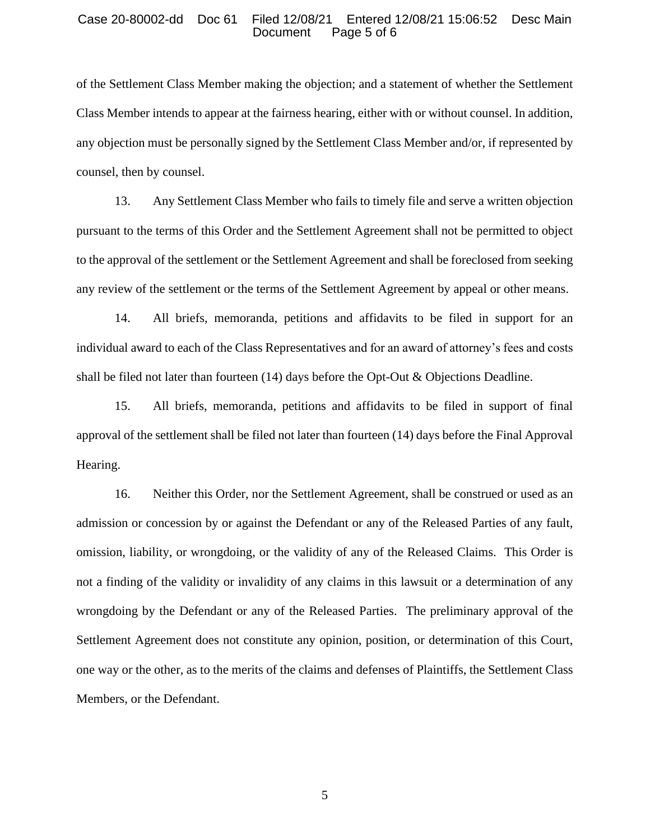#### Case 20-80002-dd Doc 61 Filed 12/08/21 Entered 12/08/21 15:06:52 Desc Main Document Page 5 of 6

of the Settlement Class Member making the objection; and a statement of whether the Settlement Class Member intends to appear at the fairness hearing, either with or without counsel. In addition, any objection must be personally signed by the Settlement Class Member and/or, if represented by counsel, then by counsel.

13. Any Settlement Class Member who fails to timely file and serve a written objection pursuant to the terms of this Order and the Settlement Agreement shall not be permitted to object to the approval of the settlement or the Settlement Agreement and shall be foreclosed from seeking any review of the settlement or the terms of the Settlement Agreement by appeal or other means.

14. All briefs, memoranda, petitions and affidavits to be filed in support for an individual award to each of the Class Representatives and for an award of attorney's fees and costs shall be filed not later than fourteen (14) days before the Opt-Out & Objections Deadline.

15. All briefs, memoranda, petitions and affidavits to be filed in support of final approval of the settlement shall be filed not later than fourteen (14) days before the Final Approval Hearing.

16. Neither this Order, nor the Settlement Agreement, shall be construed or used as an admission or concession by or against the Defendant or any of the Released Parties of any fault, omission, liability, or wrongdoing, or the validity of any of the Released Claims. This Order is not a finding of the validity or invalidity of any claims in this lawsuit or a determination of any wrongdoing by the Defendant or any of the Released Parties. The preliminary approval of the Settlement Agreement does not constitute any opinion, position, or determination of this Court, one way or the other, as to the merits of the claims and defenses of Plaintiffs, the Settlement Class Members, or the Defendant.

5